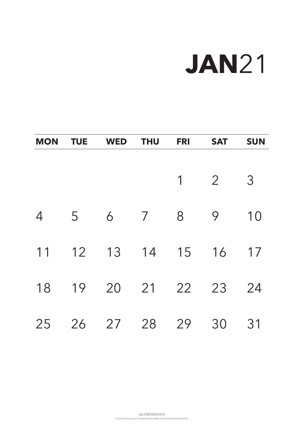For personal use only. Free download available only at www.lieberbacken.com

# **JAN**21

| <b>MON</b>     | <b>TUE</b> | <b>WED</b> | <b>THU</b>     | <b>FRI</b>     | <b>SAT</b>     | <b>SUN</b>     |
|----------------|------------|------------|----------------|----------------|----------------|----------------|
|                |            |            |                |                |                |                |
|                |            |            |                | 1              | $\overline{2}$ | 3              |
| $\overline{4}$ | 5          | 6          | $\overline{7}$ | 8              | 9              | 10             |
| 11             | 12         | 13         | 14             | 15             | 16             | 17             |
| 18             | 19         | 20         | 21             | 22             | 23             | 24             |
| つに             | つん         | つフ         | $\Omega$       | $\overline{O}$ | $\Omega$       | $\mathbf{2}$ 1 |

### 25 26 27 28 29 30 31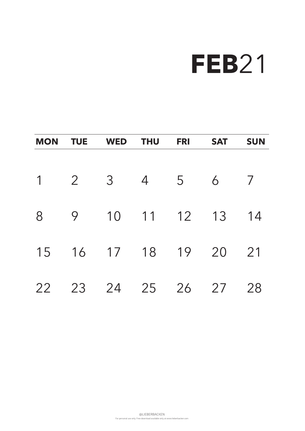For personal use only. Free download available only at www.lieberbacken.com

| <b>MON</b>  | <b>TUE</b>     | <b>WED</b>     | <b>THU</b> | <b>FRI</b> | <b>SAT</b> | <b>SUN</b>     |
|-------------|----------------|----------------|------------|------------|------------|----------------|
|             |                |                |            |            |            |                |
| $\mathbf 1$ | $\overline{2}$ | 3 <sup>7</sup> | 4 5        |            | 6          | $\overline{7}$ |
|             |                |                |            |            |            |                |
| 8           | 9              | 10 11 12 13    |            |            |            | 14             |
| 15          |                | 16 17 18 19    |            |            | 20         | 21             |
| 22          | 23             | 24             | 25         | 26         | 27         | 28             |

# **FEB**21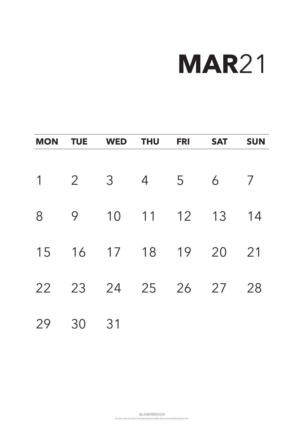For personal use only. Free download available only at www.lieberbacken.com

| <b>MON</b>     | <b>TUE</b>     | <b>WED</b> | <b>THU</b>     | <b>FRI</b> | <b>SAT</b> | <b>SUN</b>     |
|----------------|----------------|------------|----------------|------------|------------|----------------|
|                |                |            |                |            |            |                |
| $\overline{1}$ | $\overline{2}$ | 3          | $\overline{4}$ | 5          | 6          | $\overline{ }$ |
| 8              | 9              | 10         | 11             | 12         | 13         | 14             |
| 15             | 16             | 17 18      |                | 19         | 20         | 21             |
| 22             | 23             |            | 24 25          | 26         | 27         | 28             |
|                |                |            |                |            |            |                |

### 29 30 31

# **MAR**21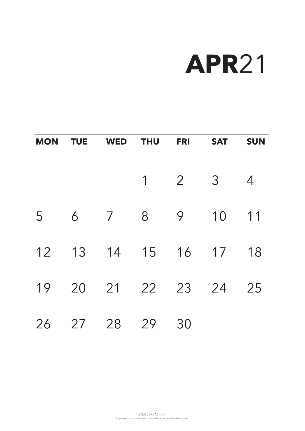For personal use only. Free download available only at www.lieberbacken.com

| <b>MON</b> | <b>TUE</b> | <b>WED</b>     | <b>THU</b>     | <b>FRI</b>     | <b>SAT</b> | <b>SUN</b>     |
|------------|------------|----------------|----------------|----------------|------------|----------------|
|            |            |                |                |                |            |                |
|            |            |                | $\overline{1}$ | $\overline{2}$ | 3          | $\overline{4}$ |
| 5          | 6          | $\overline{7}$ | 8              | 9              | 10         | 11             |
| 12         | 13         | 14 15          |                | 16             | 17         | 18             |
| 19         | 20         |                | 21 22          | 23             | 24         | 25             |
| $\bigcap$  | $\bigcap$  | $\cap$ $\cap$  | $\cap$         | $\cap$         |            |                |

### 26 27 28 29 30

# **APR**21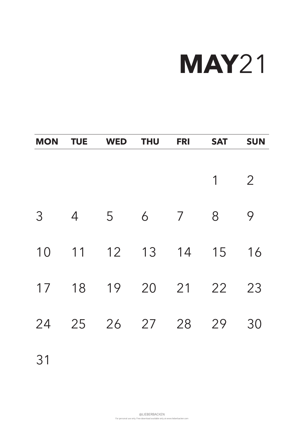For personal use only. Free download available only at www.lieberbacken.com

| <b>MON</b> | <b>TUE</b> | <b>WED</b>                | <b>THU</b> | <b>FRI</b>     | <b>SAT</b>     | <b>SUN</b>     |
|------------|------------|---------------------------|------------|----------------|----------------|----------------|
|            |            |                           |            |                | $\overline{1}$ | $\overline{2}$ |
| 3          | 4          | 5                         | 6          | $\overline{7}$ | 8              | 9              |
| 10         |            | 11 12 13 14               |            |                | 15             | 16             |
| 17         | 18         | 19                        | 20         | 21             | 22             | 23             |
|            |            | $21 25 26 27 20 20 20 20$ |            |                |                |                |

### 24 25 26 27 28 29 30

31

# **MAY**21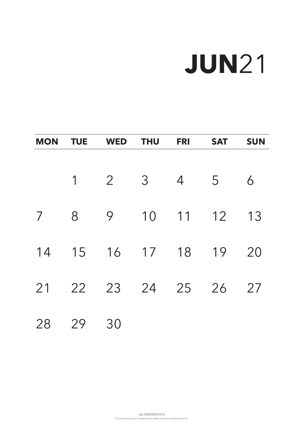For personal use only. Free download available only at www.lieberbacken.com

| <b>MON</b>     | <b>TUE</b> | <b>WED</b>     | <b>THU</b>     | <b>FRI</b>     | <b>SAT</b> | <b>SUN</b> |
|----------------|------------|----------------|----------------|----------------|------------|------------|
|                |            |                |                |                |            |            |
|                | 1          | $\overline{2}$ | $\overline{3}$ | $\overline{4}$ | 5          | 6          |
| $\overline{7}$ | 8          | 9              | 10             | 11 12          |            | 13         |
| 14             | 15         | 16 17 18 19    |                |                |            | 20         |
| 21             |            | 22 23 24 25    |                |                | 26         | 27         |
|                |            |                |                |                |            |            |

### 28 29 30

# **JUN**21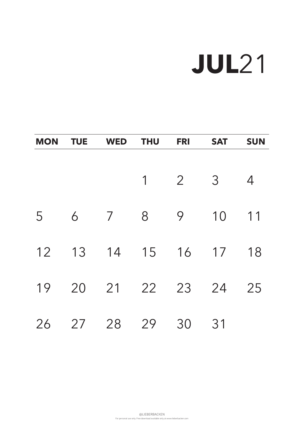For personal use only. Free download available only at www.lieberbacken.com

| <b>MON</b> | <b>TUE</b> | <b>WED</b>     | <b>THU</b>     | <b>FRI</b>     | <b>SAT</b>   | <b>SUN</b>     |
|------------|------------|----------------|----------------|----------------|--------------|----------------|
|            |            |                |                |                |              |                |
|            |            |                | $\overline{1}$ | $\overline{2}$ | 3            | $\overline{4}$ |
| 5          | 6          | $\overline{7}$ | 8              | 9              | 10           | 11             |
| 12         | 13         | 14             | 15             | 16             | 17           | 18             |
| 19         | 20         |                | 21 22          | 23             | 24           | 25             |
| $\bigcap$  | ヘフ         | $\bigcirc$     | $\Omega$       | $\Omega$       | $\bigcirc$ 1 |                |

### 26 27 28 29 30 31

# **JUL**21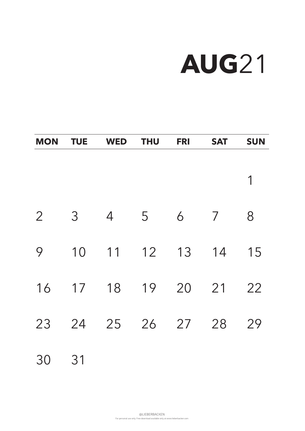For personal use only. Free download available only at www.lieberbacken.com

| <b>MON</b>     | <b>TUE</b> | <b>WED</b>                         | <b>THU</b> | <b>FRI</b> | <b>SAT</b>     | <b>SUN</b> |
|----------------|------------|------------------------------------|------------|------------|----------------|------------|
|                |            |                                    |            |            |                |            |
|                |            |                                    |            |            |                |            |
| $\overline{2}$ | 3          | $\overline{4}$                     | 5          | 6          | $\overline{7}$ | 8          |
| 9              | 10         | 11                                 | 12         | 13         | 14             | 15         |
| 16             | 17         | 18                                 | 19         | 20         | 21             | 22         |
|                |            | $22$ $21$ $25$ $21$ $27$ $20$ $20$ |            |            |                |            |

### 23 24 25 26 27 28 29

### 30 31

# **AUG**21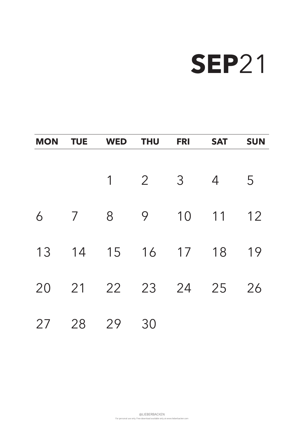For personal use only. Free download available only at www.lieberbacken.com

| <b>MON</b>    | <b>TUE</b>     | <b>WED</b>     | <b>THU</b>     | <b>FRI</b>     | <b>SAT</b>     | <b>SUN</b> |
|---------------|----------------|----------------|----------------|----------------|----------------|------------|
|               |                |                |                |                |                |            |
|               |                | $\overline{1}$ | $\overline{2}$ | 3 <sup>1</sup> | $\overline{4}$ | 5          |
| 6             | $\overline{7}$ | 8              | 9              | 10             | 11             | 12         |
| 13            | 14             | 15 16 17 18    |                |                |                | 19         |
| 20            | 21             |                | 22 23          | 24             | 25             | 26         |
| $\cap$ $\Box$ | $\cap$ $\cap$  | $\cap$         | $\bigcap$      |                |                |            |

### 27 28 29 30

## **SEP**21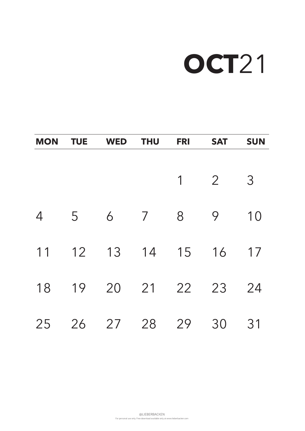For personal use only. Free download available only at www.lieberbacken.com

# **OCT**21

| <b>MON</b>     | <b>TUE</b> | <b>WED</b> | <b>THU</b>     | <b>FRI</b> | <b>SAT</b>     | <b>SUN</b>     |
|----------------|------------|------------|----------------|------------|----------------|----------------|
|                |            |            |                | 1          | $\overline{2}$ | 3              |
| $\overline{4}$ | 5          | 6          | $\overline{7}$ | 8          | 9              | 10             |
| 11             | 12         | 13         | 14             | 15         | 16             | 17             |
| 18             | 19         | 20         | 21             | 22         | 23             | 24             |
| つに             | つん         | つフ         | $\Omega$       | $\Omega$   | $\Omega$       | $\mathbf{2}$ 1 |

### 25 26 27 28 29 30 31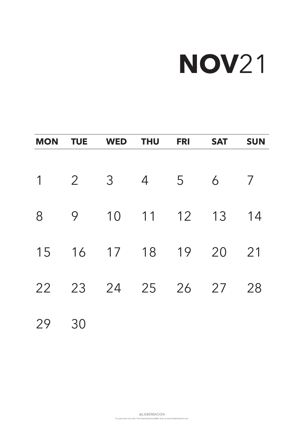For personal use only. Free download available only at www.lieberbacken.com

# **NOV**21

| <b>MON</b>     | <b>TUE</b>     | <b>WED</b> | <b>THU</b>     | <b>FRI</b>     | <b>SAT</b> | <b>SUN</b>     |
|----------------|----------------|------------|----------------|----------------|------------|----------------|
|                |                |            |                |                |            |                |
| $\overline{1}$ | $\overline{2}$ | 3          | $\overline{4}$ | $\overline{5}$ | 6          | $\overline{ }$ |
| 8              | 9              | 10         | 11             | 12 13          |            | 14             |
| 15             | 16             | 17 18      |                | 19             | 20         | 21             |
| 22             | 23             |            | 24 25          | 26             | 27         | 28             |
|                |                |            |                |                |            |                |

29 30